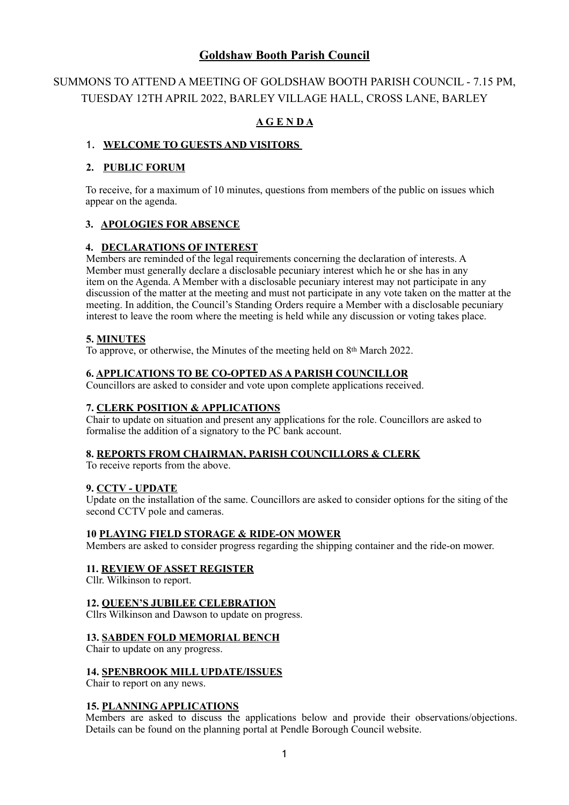# **Goldshaw Booth Parish Council**

# SUMMONS TO ATTEND A MEETING OF GOLDSHAW BOOTH PARISH COUNCIL - 7.15 PM, TUESDAY 12TH APRIL 2022, BARLEY VILLAGE HALL, CROSS LANE, BARLEY

# **A G E N D A**

# 1. **WELCOME TO GUESTS AND VISITORS**

# **2. PUBLIC FORUM**

To receive, for a maximum of 10 minutes, questions from members of the public on issues which appear on the agenda.

## **3. APOLOGIES FOR ABSENCE**

## **4. DECLARATIONS OF INTEREST**

Members are reminded of the legal requirements concerning the declaration of interests. A Member must generally declare a disclosable pecuniary interest which he or she has in any item on the Agenda. A Member with a disclosable pecuniary interest may not participate in any discussion of the matter at the meeting and must not participate in any vote taken on the matter at the meeting. In addition, the Council's Standing Orders require a Member with a disclosable pecuniary interest to leave the room where the meeting is held while any discussion or voting takes place.

## **5. MINUTES**

To approve, or otherwise, the Minutes of the meeting held on 8th March 2022.

#### **6. APPLICATIONS TO BE CO-OPTED AS A PARISH COUNCILLOR**

Councillors are asked to consider and vote upon complete applications received.

### **7. CLERK POSITION & APPLICATIONS**

Chair to update on situation and present any applications for the role. Councillors are asked to formalise the addition of a signatory to the PC bank account.

#### **8. REPORTS FROM CHAIRMAN, PARISH COUNCILLORS & CLERK**

To receive reports from the above.

#### **9. CCTV - UPDATE**

Update on the installation of the same. Councillors are asked to consider options for the siting of the second CCTV pole and cameras.

#### **10 PLAYING FIELD STORAGE & RIDE-ON MOWER**

Members are asked to consider progress regarding the shipping container and the ride-on mower.

#### **11. REVIEW OF ASSET REGISTER**

Cllr. Wilkinson to report.

#### **12. QUEEN'S JUBILEE CELEBRATION**

Cllrs Wilkinson and Dawson to update on progress.

#### **13. SABDEN FOLD MEMORIAL BENCH**

Chair to update on any progress.

#### **14. SPENBROOK MILL UPDATE/ISSUES**

Chair to report on any news.

#### **15. PLANNING APPLICATIONS**

Members are asked to discuss the applications below and provide their observations/objections. Details can be found on the planning portal at Pendle Borough Council website.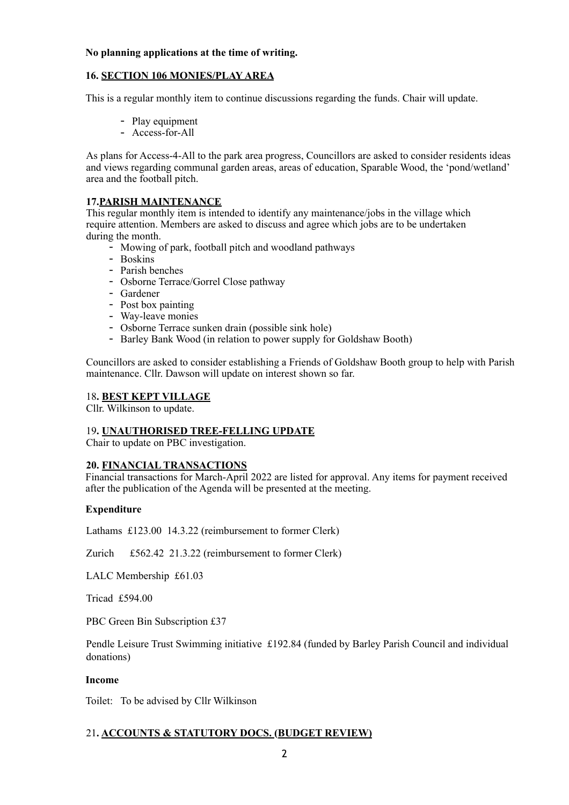#### **No planning applications at the time of writing.**

# **16. SECTION 106 MONIES/PLAY AREA**

This is a regular monthly item to continue discussions regarding the funds. Chair will update.

- Play equipment
- Access-for-All

As plans for Access-4-All to the park area progress, Councillors are asked to consider residents ideas and views regarding communal garden areas, areas of education, Sparable Wood, the 'pond/wetland' area and the football pitch.

# **17.PARISH MAINTENANCE**

This regular monthly item is intended to identify any maintenance/jobs in the village which require attention. Members are asked to discuss and agree which jobs are to be undertaken during the month.

- Mowing of park, football pitch and woodland pathways
- Boskins
- Parish benches
- Osborne Terrace/Gorrel Close pathway
- Gardener
- Post box painting
- Way-leave monies
- Osborne Terrace sunken drain (possible sink hole)
- Barley Bank Wood (in relation to power supply for Goldshaw Booth)

Councillors are asked to consider establishing a Friends of Goldshaw Booth group to help with Parish maintenance. Cllr. Dawson will update on interest shown so far.

## 18**. BEST KEPT VILLAGE**

Cllr. Wilkinson to update.

#### 19**. UNAUTHORISED TREE-FELLING UPDATE**

Chair to update on PBC investigation.

#### **20. FINANCIAL TRANSACTIONS**

Financial transactions for March-April 2022 are listed for approval. Any items for payment received after the publication of the Agenda will be presented at the meeting.

#### **Expenditure**

Lathams £123.00 14.3.22 (reimbursement to former Clerk)

Zurich £562.42 21.3.22 (reimbursement to former Clerk)

LALC Membership £61.03

Tricad £594.00

PBC Green Bin Subscription £37

Pendle Leisure Trust Swimming initiative £192.84 (funded by Barley Parish Council and individual donations)

#### **Income**

Toilet: To be advised by Cllr Wilkinson

# 21**. ACCOUNTS & STATUTORY DOCS. (BUDGET REVIEW)**